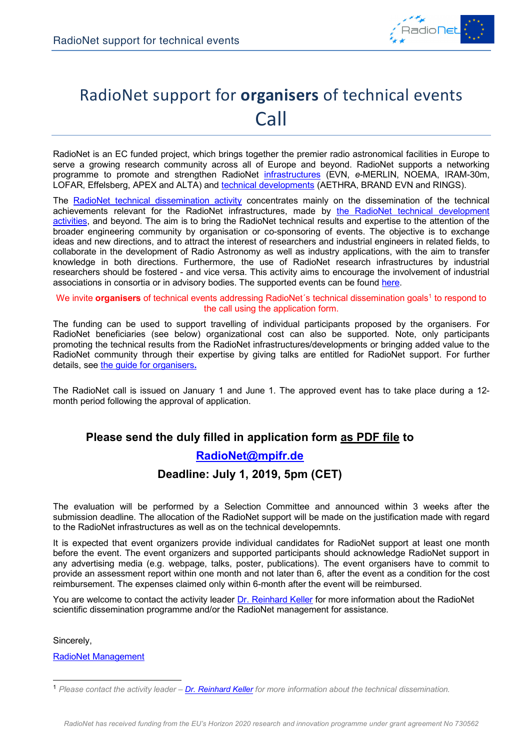

# RadioNet support for **organisers** of technical events Call

RadioNet is an EC funded project, which brings together the premier radio astronomical facilities in Europe to serve a growing research community across all of Europe and beyond. RadioNet supports a networking programme to promote and strengthen RadioNet infrastructures (EVN, *e*-MERLIN, NOEMA, IRAM-30m, LOFAR, Effelsberg, APEX and ALTA) and technical developments (AETHRA, BRAND EVN and RINGS).

The RadioNet technical dissemination activity concentrates mainly on the dissemination of the technical achievements relevant for the RadioNet infrastructures, made by the RadioNet technical development activities, and beyond. The aim is to bring the RadioNet technical results and expertise to the attention of the broader engineering community by organisation or co-sponsoring of events. The objective is to exchange ideas and new directions, and to attract the interest of researchers and industrial engineers in related fields, to collaborate in the development of Radio Astronomy as well as industry applications, with the aim to transfer knowledge in both directions. Furthermore, the use of RadioNet research infrastructures by industrial researchers should be fostered - and vice versa. This activity aims to encourage the involvement of industrial associations in consortia or in advisory bodies. The supported events can be found here.

#### We invite **organisers** of technical events addressing RadioNet's technical dissemination goals<sup>1</sup> to respond to the call using the application form.

The funding can be used to support travelling of individual participants proposed by the organisers. For RadioNet beneficiaries (see below) organizational cost can also be supported. Note, only participants promoting the technical results from the RadioNet infrastructures/developments or bringing added value to the RadioNet community through their expertise by giving talks are entitled for RadioNet support. For further details, see the guide for organisers**.**

The RadioNet call is issued on January 1 and June 1. The approved event has to take place during a 12 month period following the approval of application.

### **Please send the duly filled in application form as PDF file to**

### **RadioNet@mpifr.de**

### **Deadline: July 1, 2019, 5pm (CET)**

The evaluation will be performed by a Selection Committee and announced within 3 weeks after the submission deadline. The allocation of the RadioNet support will be made on the justification made with regard to the RadioNet infrastructures as well as on the technical developemnts.

It is expected that event organizers provide individual candidates for RadioNet support at least one month before the event. The event organizers and supported participants should acknowledge RadioNet support in any advertising media (e.g. webpage, talks, poster, publications). The event organisers have to commit to provide an assessment report within one month and not later than 6, after the event as a condition for the cost reimbursement. The expenses claimed only within 6-month after the event will be reimbursed.

You are welcome to contact the activity leader Dr. Reinhard Keller for more information about the RadioNet scientific dissemination programme and/or the RadioNet management for assistance.

Sincerely,

RadioNet Management

 <sup>1</sup> *Please contact the activity leader – Dr. Reinhard Keller for more information about the technical dissemination.*